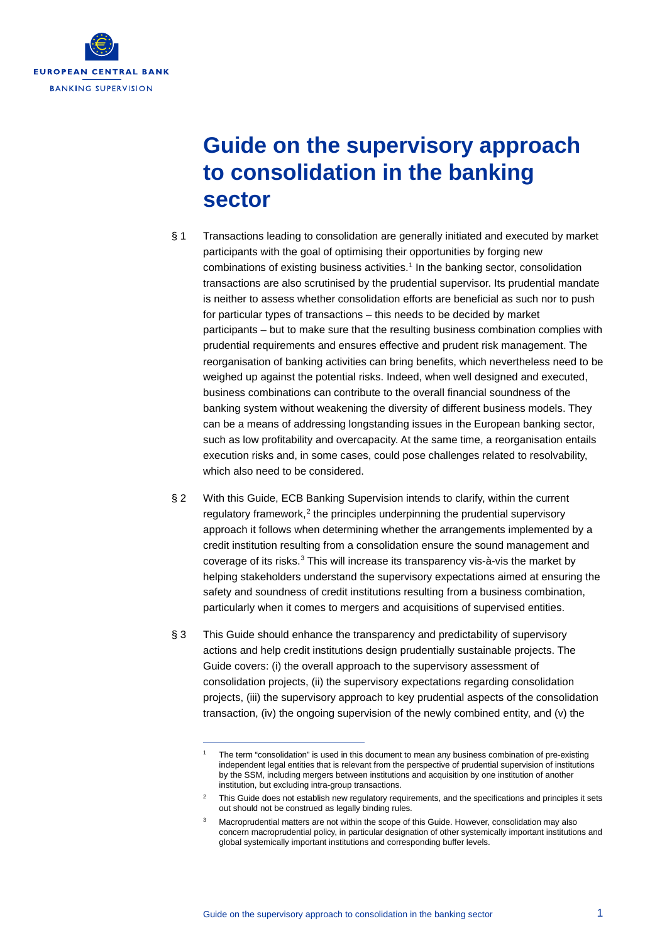

# **Guide on the supervisory approach to consolidation in the banking sector**

- § 1 Transactions leading to consolidation are generally initiated and executed by market participants with the goal of optimising their opportunities by forging new combinations of existing business activities.<sup>[1](#page-0-0)</sup> In the banking sector, consolidation transactions are also scrutinised by the prudential supervisor. Its prudential mandate is neither to assess whether consolidation efforts are beneficial as such nor to push for particular types of transactions – this needs to be decided by market participants – but to make sure that the resulting business combination complies with prudential requirements and ensures effective and prudent risk management. The reorganisation of banking activities can bring benefits, which nevertheless need to be weighed up against the potential risks. Indeed, when well designed and executed, business combinations can contribute to the overall financial soundness of the banking system without weakening the diversity of different business models. They can be a means of addressing longstanding issues in the European banking sector, such as low profitability and overcapacity. At the same time, a reorganisation entails execution risks and, in some cases, could pose challenges related to resolvability, which also need to be considered.
- § 2 With this Guide, ECB Banking Supervision intends to clarify, within the current regulatory framework, $2$  the principles underpinning the prudential supervisory approach it follows when determining whether the arrangements implemented by a credit institution resulting from a consolidation ensure the sound management and coverage of its risks.<sup>[3](#page-0-2)</sup> This will increase its transparency vis-à-vis the market by helping stakeholders understand the supervisory expectations aimed at ensuring the safety and soundness of credit institutions resulting from a business combination, particularly when it comes to mergers and acquisitions of supervised entities.
- § 3 This Guide should enhance the transparency and predictability of supervisory actions and help credit institutions design prudentially sustainable projects. The Guide covers: (i) the overall approach to the supervisory assessment of consolidation projects, (ii) the supervisory expectations regarding consolidation projects, (iii) the supervisory approach to key prudential aspects of the consolidation transaction, (iv) the ongoing supervision of the newly combined entity, and (v) the

<span id="page-0-0"></span>The term "consolidation" is used in this document to mean any business combination of pre-existing independent legal entities that is relevant from the perspective of prudential supervision of institutions by the SSM, including mergers between institutions and acquisition by one institution of another institution, but excluding intra-group transactions.

<span id="page-0-2"></span><span id="page-0-1"></span>This Guide does not establish new regulatory requirements, and the specifications and principles it sets out should not be construed as legally binding rules.

<sup>3</sup> Macroprudential matters are not within the scope of this Guide. However, consolidation may also concern macroprudential policy, in particular designation of other systemically important institutions and global systemically important institutions and corresponding buffer levels.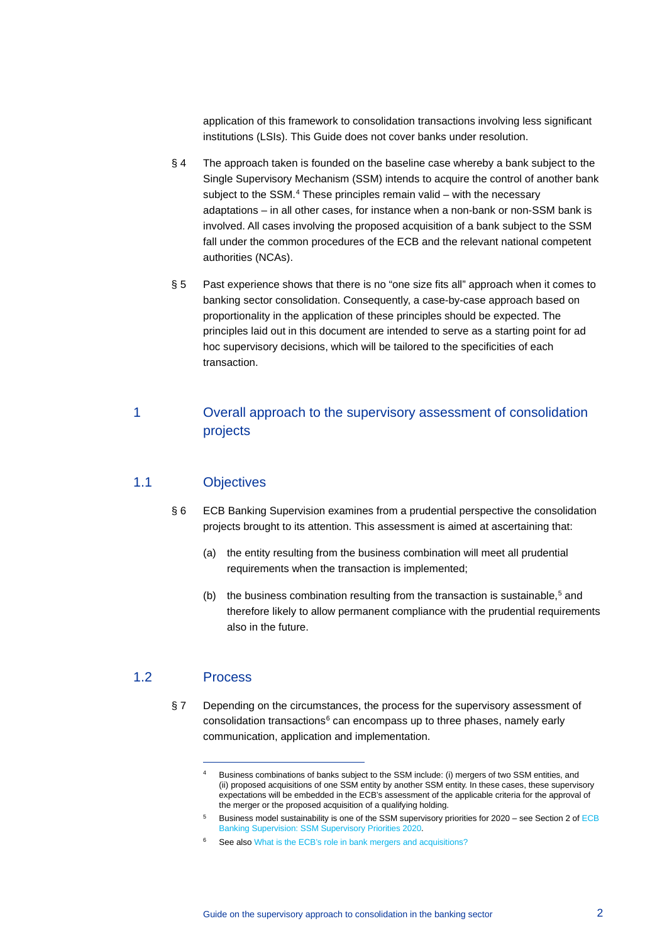application of this framework to consolidation transactions involving less significant institutions (LSIs). This Guide does not cover banks under resolution.

- § 4 The approach taken is founded on the baseline case whereby a bank subject to the Single Supervisory Mechanism (SSM) intends to acquire the control of another bank subject to the  $SSM<sup>4</sup>$  $SSM<sup>4</sup>$  $SSM<sup>4</sup>$ . These principles remain valid – with the necessary adaptations – in all other cases, for instance when a non-bank or non-SSM bank is involved. All cases involving the proposed acquisition of a bank subject to the SSM fall under the common procedures of the ECB and the relevant national competent authorities (NCAs).
- § 5 Past experience shows that there is no "one size fits all" approach when it comes to banking sector consolidation. Consequently, a case-by-case approach based on proportionality in the application of these principles should be expected. The principles laid out in this document are intended to serve as a starting point for ad hoc supervisory decisions, which will be tailored to the specificities of each transaction.

# 1 Overall approach to the supervisory assessment of consolidation projects

# 1.1 Objectives

- § 6 ECB Banking Supervision examines from a prudential perspective the consolidation projects brought to its attention. This assessment is aimed at ascertaining that:
	- (a) the entity resulting from the business combination will meet all prudential requirements when the transaction is implemented;
	- (b) the business combination resulting from the transaction is sustainable,<sup>5</sup> and therefore likely to allow permanent compliance with the prudential requirements also in the future.

#### <span id="page-1-1"></span><span id="page-1-0"></span>1.2 Process

§ 7 Depending on the circumstances, the process for the supervisory assessment of consolidation transactions<sup>[6](#page-1-2)</sup> can encompass up to three phases, namely early communication, application and implementation.

<sup>4</sup> Business combinations of banks subject to the SSM include: (i) mergers of two SSM entities, and (ii) proposed acquisitions of one SSM entity by another SSM entity. In these cases, these supervisory expectations will be embedded in the ECB's assessment of the applicable criteria for the approval of the merger or the proposed acquisition of a qualifying holding.

<sup>5</sup> Business model sustainability is one of the SSM supervisory priorities for 2020 – see Section 2 o[f ECB](https://www.bankingsupervision.europa.eu/banking/priorities/pdf/ssm.supervisory_priorities2020%7Eb67449d936.en.pdf)  [Banking Supervision: SSM Supervisory Priorities 2020.](https://www.bankingsupervision.europa.eu/banking/priorities/pdf/ssm.supervisory_priorities2020%7Eb67449d936.en.pdf)

<span id="page-1-2"></span><sup>&</sup>lt;sup>6</sup> See also [What is the ECB's role in bank mergers and acquisitions?](https://www.bankingsupervision.europa.eu/about/ssmexplained/html/bank_mergers_acquisitions.en.html)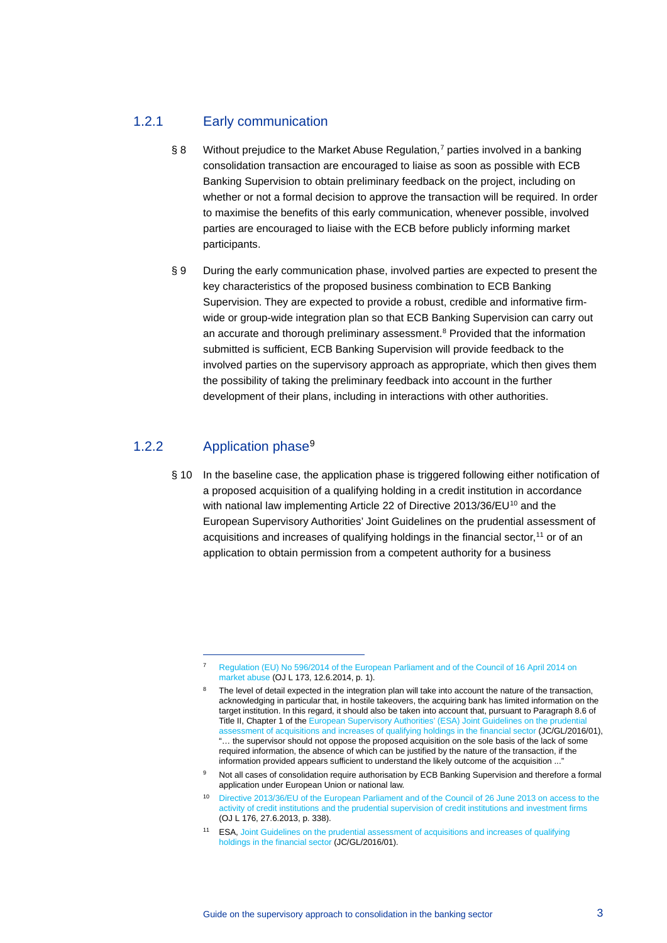# 1.2.1 Early communication

- § 8 Without prejudice to the Market Abuse Regulation,<sup>[7](#page-2-0)</sup> parties involved in a banking consolidation transaction are encouraged to liaise as soon as possible with ECB Banking Supervision to obtain preliminary feedback on the project, including on whether or not a formal decision to approve the transaction will be required. In order to maximise the benefits of this early communication, whenever possible, involved parties are encouraged to liaise with the ECB before publicly informing market participants.
- § 9 During the early communication phase, involved parties are expected to present the key characteristics of the proposed business combination to ECB Banking Supervision. They are expected to provide a robust, credible and informative firmwide or group-wide integration plan so that ECB Banking Supervision can carry out an accurate and thorough preliminary assessment. [8](#page-2-1) Provided that the information submitted is sufficient, ECB Banking Supervision will provide feedback to the involved parties on the supervisory approach as appropriate, which then gives them the possibility of taking the preliminary feedback into account in the further development of their plans, including in interactions with other authorities.

# 1.2.2 Application phase<sup>[9](#page-2-2)</sup>

§ 10 In the baseline case, the application phase is triggered following either notification of a proposed acquisition of a qualifying holding in a credit institution in accordance with national law implementing Article 22 of Directive 2013/36/EU<sup>[10](#page-2-3)</sup> and the European Supervisory Authorities' Joint Guidelines on the prudential assessment of acquisitions and increases of qualifying holdings in the financial sector, [11](#page-2-4) or of an application to obtain permission from a competent authority for a business

<span id="page-2-0"></span><sup>7</sup> Regulation (EU) No [596/2014 of the European Parliament and of the Council of 16](https://eur-lex.europa.eu/legal-content/EN/TXT/?uri=celex%3A32014R0596) April 2014 on [market abuse](https://eur-lex.europa.eu/legal-content/EN/TXT/?uri=celex%3A32014R0596) (OJ L 173, 12.6.2014, p. 1).

<span id="page-2-1"></span>The level of detail expected in the integration plan will take into account the nature of the transaction, acknowledging in particular that, in hostile takeovers, the acquiring bank has limited information on the target institution. In this regard, it should also be taken into account that, pursuant to Paragraph 8.6 of Title II, Chapter 1 of the [European Supervisory Authorities' \(ESA\)](https://esas-joint-committee.europa.eu/Pages/Guidelines/Joint-Guidelines-on-the-prudential-assessment-of-acquisitions-and-increases-of-qualifying-holdings-in-the-banking,-insuranc.aspx) Joint Guidelines on the prudential [assessment of acquisitions and increases of qualifying holdings in the financial sector](https://esas-joint-committee.europa.eu/Pages/Guidelines/Joint-Guidelines-on-the-prudential-assessment-of-acquisitions-and-increases-of-qualifying-holdings-in-the-banking,-insuranc.aspx) (JC/GL/2016/01), "… the supervisor should not oppose the proposed acquisition on the sole basis of the lack of some required information, the absence of which can be justified by the nature of the transaction, if the information provided appears sufficient to understand the likely outcome of the acquisition ..."

<span id="page-2-2"></span>Not all cases of consolidation require authorisation by ECB Banking Supervision and therefore a formal application under European Union or national law.

<span id="page-2-3"></span><sup>10</sup> [Directive 2013/36/EU of the European Parliament and of the Council of 26](https://eur-lex.europa.eu/legal-content/EN/TXT/?uri=celex%3A32013L0036) June 2013 on access to the [activity of credit institutions and the prudential supervision of credit institutions and investment firms](https://eur-lex.europa.eu/legal-content/EN/TXT/?uri=celex%3A32013L0036) (OJ L 176, 27.6.2013, p. 338).

<span id="page-2-4"></span><sup>11</sup> ESA, [Joint Guidelines on the prudential assessment of acquisitions and increases of qualifying](https://esas-joint-committee.europa.eu/Publications/Guidelines/JC_QH_GLs_EN.pdf)  [holdings in the financial sector](https://esas-joint-committee.europa.eu/Publications/Guidelines/JC_QH_GLs_EN.pdf) (JC/GL/2016/01).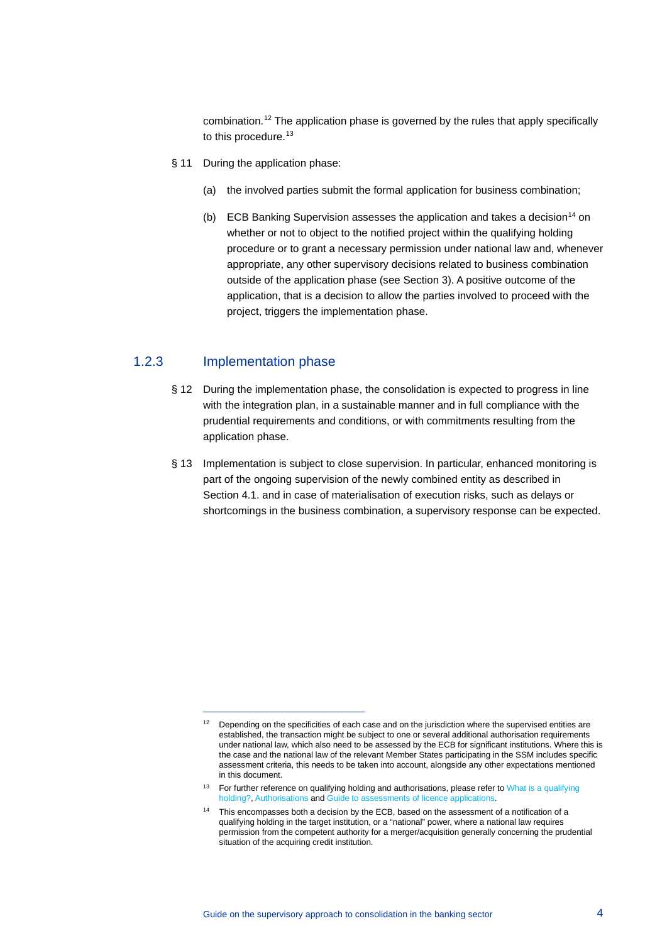combination. [12](#page-3-0) The application phase is governed by the rules that apply specifically to this procedure.<sup>[13](#page-3-1)</sup>

- § 11 During the application phase:
	- (a) the involved parties submit the formal application for business combination;
	- (b) ECB Banking Supervision assesses the application and takes a decision<sup>14</sup> on whether or not to object to the notified project within the qualifying holding procedure or to grant a necessary permission under national law and, whenever appropriate, any other supervisory decisions related to business combination outside of the application phase (see Section 3). A positive outcome of the application, that is a decision to allow the parties involved to proceed with the project, triggers the implementation phase.

#### 1.2.3 Implementation phase

- § 12 During the implementation phase, the consolidation is expected to progress in line with the integration plan, in a sustainable manner and in full compliance with the prudential requirements and conditions, or with commitments resulting from the application phase.
- § 13 Implementation is subject to close supervision. In particular, enhanced monitoring is part of the ongoing supervision of the newly combined entity as described in Section 4.1. and in case of materialisation of execution risks, such as delays or shortcomings in the business combination, a supervisory response can be expected.

<span id="page-3-0"></span> $12$  Depending on the specificities of each case and on the jurisdiction where the supervised entities are established, the transaction might be subject to one or several additional authorisation requirements under national law, which also need to be assessed by the ECB for significant institutions. Where this is the case and the national law of the relevant Member States participating in the SSM includes specific assessment criteria, this needs to be taken into account, alongside any other expectations mentioned in this document.

<span id="page-3-1"></span><sup>&</sup>lt;sup>13</sup> For further reference on qualifying holding and authorisations, please refer to What is a qualifying [holding?,](https://www.bankingsupervision.europa.eu/about/ssmexplained/html/qh.en.html) [Authorisations](https://www.bankingsupervision.europa.eu/banking/tasks/authorisation/html/index.en.html) and [Guide to assessments of licence applications.](https://www.bankingsupervision.europa.eu/ecb/pub/pdf/ssm.201901_guide_assessment_credit_inst_licensing_appl.en.pdf)

<span id="page-3-2"></span><sup>&</sup>lt;sup>14</sup> This encompasses both a decision by the ECB, based on the assessment of a notification of a qualifying holding in the target institution, or a "national" power, where a national law requires permission from the competent authority for a merger/acquisition generally concerning the prudential situation of the acquiring credit institution.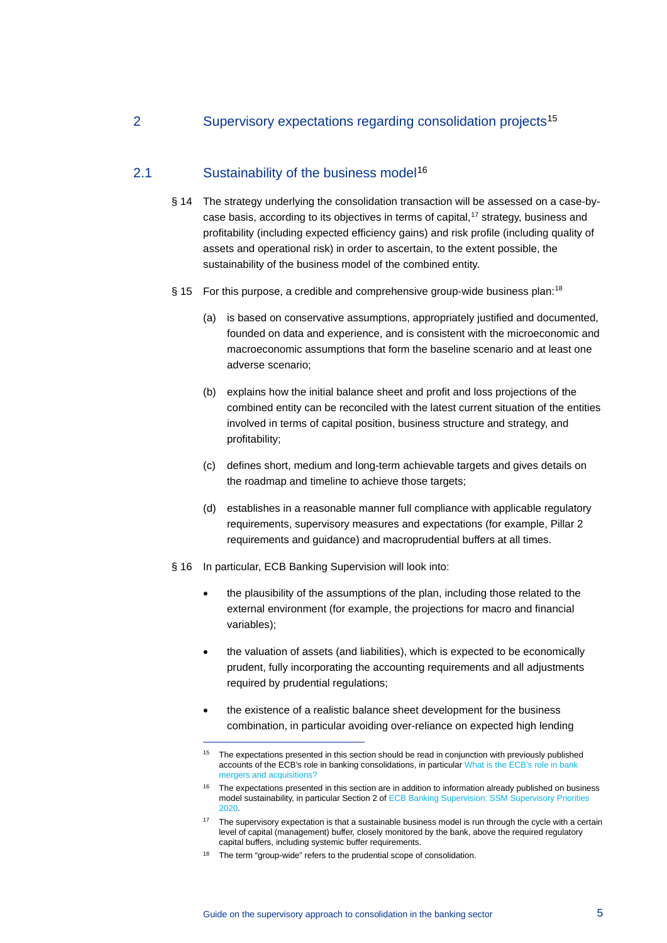# 2 Supervisory expectations regarding consolidation projects<sup>[15](#page-4-0)</sup>

# 2.1 Sustainability of the business model<sup>[16](#page-4-1)</sup>

- § 14 The strategy underlying the consolidation transaction will be assessed on a case-bycase basis, according to its objectives in terms of capital, [17](#page-4-2) strategy, business and profitability (including expected efficiency gains) and risk profile (including quality of assets and operational risk) in order to ascertain, to the extent possible, the sustainability of the business model of the combined entity.
- § 15 For this purpose, a credible and comprehensive group-wide business plan:<sup>[18](#page-4-3)</sup>
	- (a) is based on conservative assumptions, appropriately justified and documented, founded on data and experience, and is consistent with the microeconomic and macroeconomic assumptions that form the baseline scenario and at least one adverse scenario;
	- (b) explains how the initial balance sheet and profit and loss projections of the combined entity can be reconciled with the latest current situation of the entities involved in terms of capital position, business structure and strategy, and profitability;
	- (c) defines short, medium and long-term achievable targets and gives details on the roadmap and timeline to achieve those targets;
	- (d) establishes in a reasonable manner full compliance with applicable regulatory requirements, supervisory measures and expectations (for example, Pillar 2 requirements and guidance) and macroprudential buffers at all times.
- § 16 In particular, ECB Banking Supervision will look into:
	- the plausibility of the assumptions of the plan, including those related to the external environment (for example, the projections for macro and financial variables);
	- the valuation of assets (and liabilities), which is expected to be economically prudent, fully incorporating the accounting requirements and all adjustments required by prudential regulations;
	- the existence of a realistic balance sheet development for the business combination, in particular avoiding over-reliance on expected high lending

<span id="page-4-0"></span><sup>&</sup>lt;sup>15</sup> The expectations presented in this section should be read in conjunction with previously published accounts of the ECB's role in banking consolidations, in particular [What is the ECB's role in bank](https://www.bankingsupervision.europa.eu/about/ssmexplained/html/bank_mergers_acquisitions.en.html)  [mergers and acquisitions?](https://www.bankingsupervision.europa.eu/about/ssmexplained/html/bank_mergers_acquisitions.en.html)

<span id="page-4-1"></span><sup>&</sup>lt;sup>16</sup> The expectations presented in this section are in addition to information already published on business model sustainability, in particular Section 2 o[f ECB Banking Supervision: SSM Supervisory Priorities](https://www.bankingsupervision.europa.eu/banking/priorities/pdf/ssm.supervisory_priorities2020%7Eb67449d936.en.pdf)  [2020.](https://www.bankingsupervision.europa.eu/banking/priorities/pdf/ssm.supervisory_priorities2020%7Eb67449d936.en.pdf)

<span id="page-4-2"></span><sup>&</sup>lt;sup>17</sup> The supervisory expectation is that a sustainable business model is run through the cycle with a certain level of capital (management) buffer, closely monitored by the bank, above the required regulatory capital buffers, including systemic buffer requirements.

<span id="page-4-3"></span><sup>&</sup>lt;sup>18</sup> The term "group-wide" refers to the prudential scope of consolidation.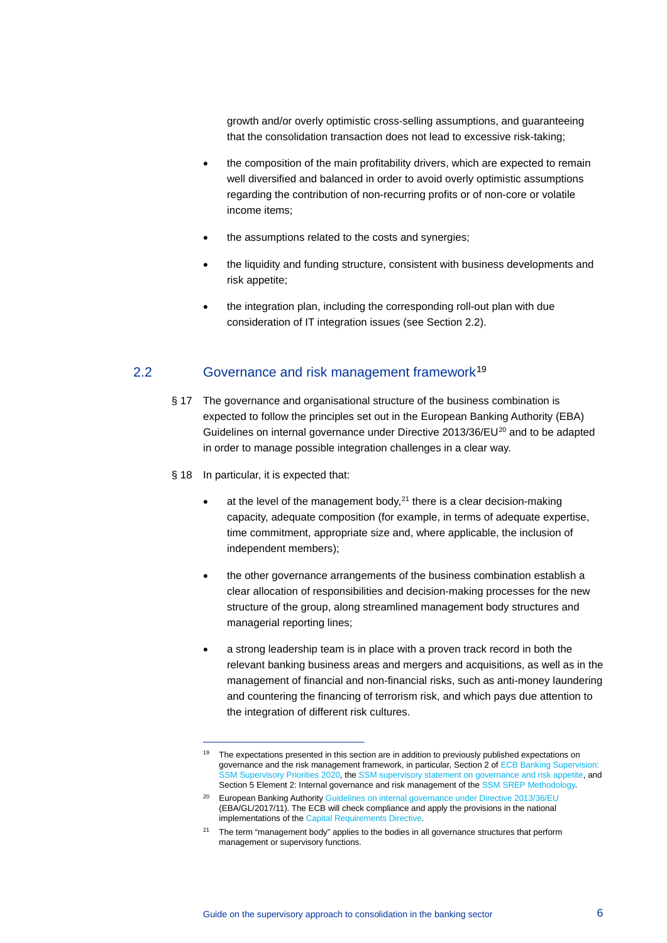growth and/or overly optimistic cross-selling assumptions, and guaranteeing that the consolidation transaction does not lead to excessive risk-taking;

- the composition of the main profitability drivers, which are expected to remain well diversified and balanced in order to avoid overly optimistic assumptions regarding the contribution of non-recurring profits or of non-core or volatile income items;
- the assumptions related to the costs and synergies;
- the liquidity and funding structure, consistent with business developments and risk appetite;
- the integration plan, including the corresponding roll-out plan with due consideration of IT integration issues (see Section 2.2).

## 2.2 Governance and risk management framework<sup>[19](#page-5-0)</sup>

- § 17 The governance and organisational structure of the business combination is expected to follow the principles set out in the European Banking Authority (EBA) Guidelines on internal governance under Directive [20](#page-5-1)13/36/EU<sup>20</sup> and to be adapted in order to manage possible integration challenges in a clear way.
- § 18 In particular, it is expected that:
	- at the level of the management body,  $21$  there is a clear decision-making capacity, adequate composition (for example, in terms of adequate expertise, time commitment, appropriate size and, where applicable, the inclusion of independent members);
	- the other governance arrangements of the business combination establish a clear allocation of responsibilities and decision-making processes for the new structure of the group, along streamlined management body structures and managerial reporting lines;
	- a strong leadership team is in place with a proven track record in both the relevant banking business areas and mergers and acquisitions, as well as in the management of financial and non-financial risks, such as anti-money laundering and countering the financing of terrorism risk, and which pays due attention to the integration of different risk cultures.

<span id="page-5-0"></span><sup>&</sup>lt;sup>19</sup> The expectations presented in this section are in addition to previously published expectations on governance and the risk management framework, in particular, Section 2 of ECB Banking Supervision: [SSM Supervisory Priorities 2020,](https://www.bankingsupervision.europa.eu/banking/priorities/pdf/ssm.supervisory_priorities2020%7Eb67449d936.en.pdf) the [SSM supervisory statement on governance and risk appetite,](https://www.bankingsupervision.europa.eu/ecb/pub/pdf/ssm_supervisory_statement_on_governance_and_risk_appetite_201606.en.pdf) and Section 5 Element 2: Internal governance and risk management of th[e SSM SREP Methodology.](https://www.bankingsupervision.europa.eu/banking/srep/srep_2019/html/methodology.en.html)

<span id="page-5-1"></span><sup>&</sup>lt;sup>20</sup> European Banking Authorit[y Guidelines on internal governance under Directive 2013/36/EU](https://eba.europa.eu/sites/default/documents/files/documents/10180/1972987/eb859955-614a-4afb-bdcd-aaa664994889/Final%20Guidelines%20on%20Internal%20Governance%20(EBA-GL-2017-11).pdf) (EBA/GL/2017/11). The ECB will check compliance and apply the provisions in the national implementations of th[e Capital Requirements Directive.](https://eur-lex.europa.eu/LexUriServ/LexUriServ.do?uri=OJ:L:2013:176:0338:0436:EN:PDF) 

<span id="page-5-2"></span><sup>&</sup>lt;sup>21</sup> The term "management body" applies to the bodies in all governance structures that perform management or supervisory functions.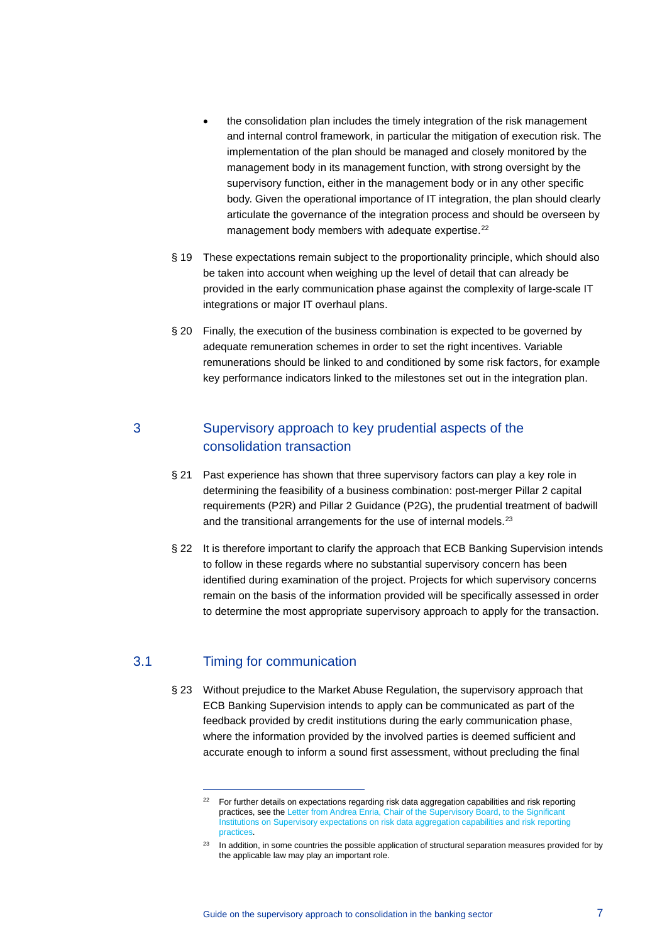- the consolidation plan includes the timely integration of the risk management and internal control framework, in particular the mitigation of execution risk. The implementation of the plan should be managed and closely monitored by the management body in its management function, with strong oversight by the supervisory function, either in the management body or in any other specific body. Given the operational importance of IT integration, the plan should clearly articulate the governance of the integration process and should be overseen by management body members with adequate expertise.<sup>[22](#page-6-0)</sup>
- § 19 These expectations remain subject to the proportionality principle, which should also be taken into account when weighing up the level of detail that can already be provided in the early communication phase against the complexity of large-scale IT integrations or major IT overhaul plans.
- § 20 Finally, the execution of the business combination is expected to be governed by adequate remuneration schemes in order to set the right incentives. Variable remunerations should be linked to and conditioned by some risk factors, for example key performance indicators linked to the milestones set out in the integration plan.

# 3 Supervisory approach to key prudential aspects of the consolidation transaction

- § 21 Past experience has shown that three supervisory factors can play a key role in determining the feasibility of a business combination: post-merger Pillar 2 capital requirements (P2R) and Pillar 2 Guidance (P2G), the prudential treatment of badwill and the transitional arrangements for the use of internal models.<sup>[23](#page-6-1)</sup>
- § 22 It is therefore important to clarify the approach that ECB Banking Supervision intends to follow in these regards where no substantial supervisory concern has been identified during examination of the project. Projects for which supervisory concerns remain on the basis of the information provided will be specifically assessed in order to determine the most appropriate supervisory approach to apply for the transaction.

# <span id="page-6-0"></span>3.1 Timing for communication

§ 23 Without prejudice to the Market Abuse Regulation, the supervisory approach that ECB Banking Supervision intends to apply can be communicated as part of the feedback provided by credit institutions during the early communication phase, where the information provided by the involved parties is deemed sufficient and accurate enough to inform a sound first assessment, without precluding the final

<sup>&</sup>lt;sup>22</sup> For further details on expectations regarding risk data aggregation capabilities and risk reporting practices, see th[e Letter from Andrea Enria, Chair of the Supervisory Board, to the Significant](https://www.bankingsupervision.europa.eu/press/letterstobanks/shared/pdf/2019/ssm.supervisory_expectations_on_risk_data_aggregation_capabilities_and_risk_reporting_practices_201906.en.pdf)  [Institutions on Supervisory expectations on risk data aggregation capabilities and risk reporting](https://www.bankingsupervision.europa.eu/press/letterstobanks/shared/pdf/2019/ssm.supervisory_expectations_on_risk_data_aggregation_capabilities_and_risk_reporting_practices_201906.en.pdf)  [practices.](https://www.bankingsupervision.europa.eu/press/letterstobanks/shared/pdf/2019/ssm.supervisory_expectations_on_risk_data_aggregation_capabilities_and_risk_reporting_practices_201906.en.pdf)

<span id="page-6-1"></span><sup>&</sup>lt;sup>23</sup> In addition, in some countries the possible application of structural separation measures provided for by the applicable law may play an important role.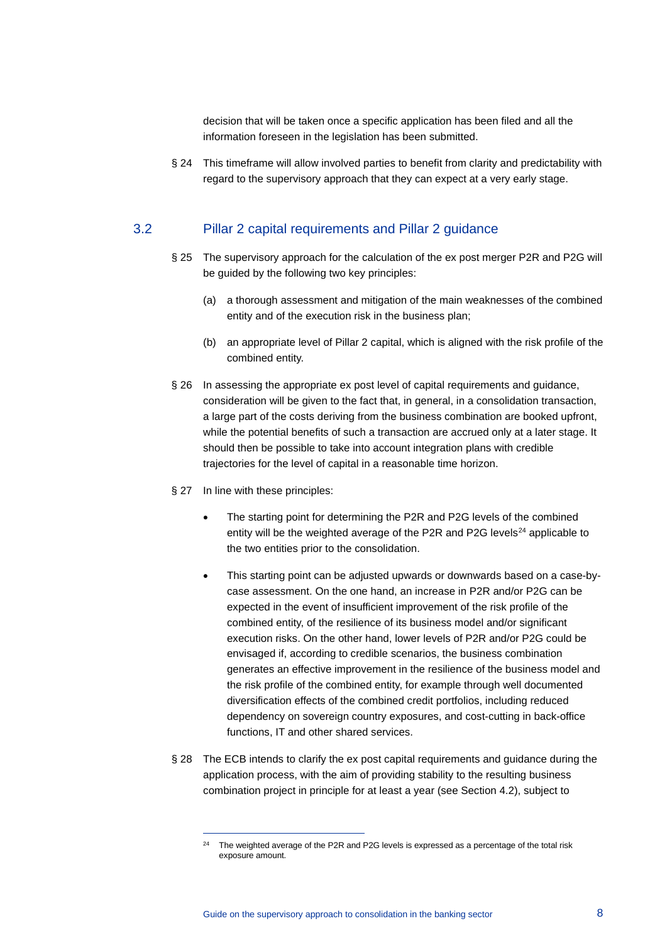decision that will be taken once a specific application has been filed and all the information foreseen in the legislation has been submitted.

§ 24 This timeframe will allow involved parties to benefit from clarity and predictability with regard to the supervisory approach that they can expect at a very early stage.

#### 3.2 Pillar 2 capital requirements and Pillar 2 guidance

- § 25 The supervisory approach for the calculation of the ex post merger P2R and P2G will be guided by the following two key principles:
	- (a) a thorough assessment and mitigation of the main weaknesses of the combined entity and of the execution risk in the business plan;
	- (b) an appropriate level of Pillar 2 capital, which is aligned with the risk profile of the combined entity.
- § 26 In assessing the appropriate ex post level of capital requirements and guidance, consideration will be given to the fact that, in general, in a consolidation transaction, a large part of the costs deriving from the business combination are booked upfront, while the potential benefits of such a transaction are accrued only at a later stage. It should then be possible to take into account integration plans with credible trajectories for the level of capital in a reasonable time horizon.
- § 27 In line with these principles:
	- The starting point for determining the P2R and P2G levels of the combined entity will be the weighted average of the P2R and P2G levels<sup>[24](#page-7-0)</sup> applicable to the two entities prior to the consolidation.
	- This starting point can be adjusted upwards or downwards based on a case-bycase assessment. On the one hand, an increase in P2R and/or P2G can be expected in the event of insufficient improvement of the risk profile of the combined entity, of the resilience of its business model and/or significant execution risks. On the other hand, lower levels of P2R and/or P2G could be envisaged if, according to credible scenarios, the business combination generates an effective improvement in the resilience of the business model and the risk profile of the combined entity, for example through well documented diversification effects of the combined credit portfolios, including reduced dependency on sovereign country exposures, and cost-cutting in back-office functions, IT and other shared services.
- <span id="page-7-0"></span>§ 28 The ECB intends to clarify the ex post capital requirements and guidance during the application process, with the aim of providing stability to the resulting business combination project in principle for at least a year (see Section 4.2), subject to

<sup>&</sup>lt;sup>24</sup> The weighted average of the P2R and P2G levels is expressed as a percentage of the total risk exposure amount.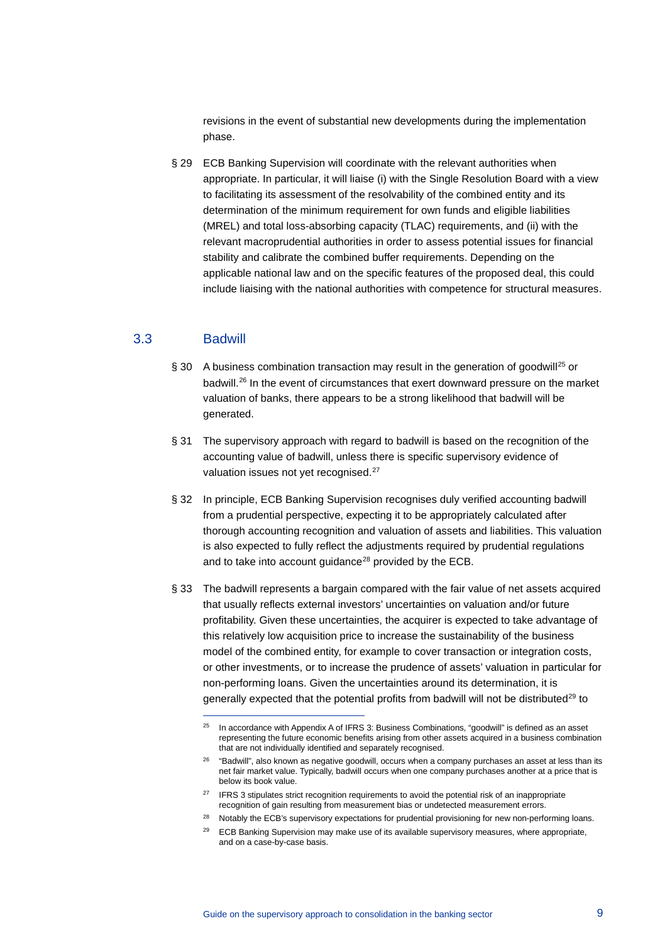revisions in the event of substantial new developments during the implementation phase.

§ 29 ECB Banking Supervision will coordinate with the relevant authorities when appropriate. In particular, it will liaise (i) with the Single Resolution Board with a view to facilitating its assessment of the resolvability of the combined entity and its determination of the minimum requirement for own funds and eligible liabilities (MREL) and total loss-absorbing capacity (TLAC) requirements, and (ii) with the relevant macroprudential authorities in order to assess potential issues for financial stability and calibrate the combined buffer requirements. Depending on the applicable national law and on the specific features of the proposed deal, this could include liaising with the national authorities with competence for structural measures.

## 3.3 Badwill

- $\S$  30 A business combination transaction may result in the generation of goodwill<sup>[25](#page-8-0)</sup> or badwill.[26](#page-8-1) In the event of circumstances that exert downward pressure on the market valuation of banks, there appears to be a strong likelihood that badwill will be generated.
- § 31 The supervisory approach with regard to badwill is based on the recognition of the accounting value of badwill, unless there is specific supervisory evidence of valuation issues not yet recognised.<sup>[27](#page-8-2)</sup>
- § 32 In principle, ECB Banking Supervision recognises duly verified accounting badwill from a prudential perspective, expecting it to be appropriately calculated after thorough accounting recognition and valuation of assets and liabilities. This valuation is also expected to fully reflect the adjustments required by prudential regulations and to take into account guidance $^{28}$  $^{28}$  $^{28}$  provided by the ECB.
- § 33 The badwill represents a bargain compared with the fair value of net assets acquired that usually reflects external investors' uncertainties on valuation and/or future profitability. Given these uncertainties, the acquirer is expected to take advantage of this relatively low acquisition price to increase the sustainability of the business model of the combined entity, for example to cover transaction or integration costs, or other investments, or to increase the prudence of assets' valuation in particular for non-performing loans. Given the uncertainties around its determination, it is generally expected that the potential profits from badwill will not be distributed $^{29}$  $^{29}$  $^{29}$  to

<span id="page-8-0"></span><sup>&</sup>lt;sup>25</sup> In accordance with Appendix A of IFRS 3: Business Combinations, "goodwill" is defined as an asset representing the future economic benefits arising from other assets acquired in a business combination that are not individually identified and separately recognised.

<span id="page-8-1"></span> $26$  "Badwill", also known as negative goodwill, occurs when a company purchases an asset at less than its net fair market value. Typically, badwill occurs when one company purchases another at a price that is below its book value.

<span id="page-8-2"></span><sup>&</sup>lt;sup>27</sup> IFRS 3 stipulates strict recognition requirements to avoid the potential risk of an inappropriate recognition of gain resulting from measurement bias or undetected measurement errors.

<sup>&</sup>lt;sup>28</sup> Notably the ECB's supervisory expectations for prudential provisioning for new non-performing loans.

<span id="page-8-4"></span><span id="page-8-3"></span><sup>&</sup>lt;sup>29</sup> ECB Banking Supervision may make use of its available supervisory measures, where appropriate, and on a case-by-case basis.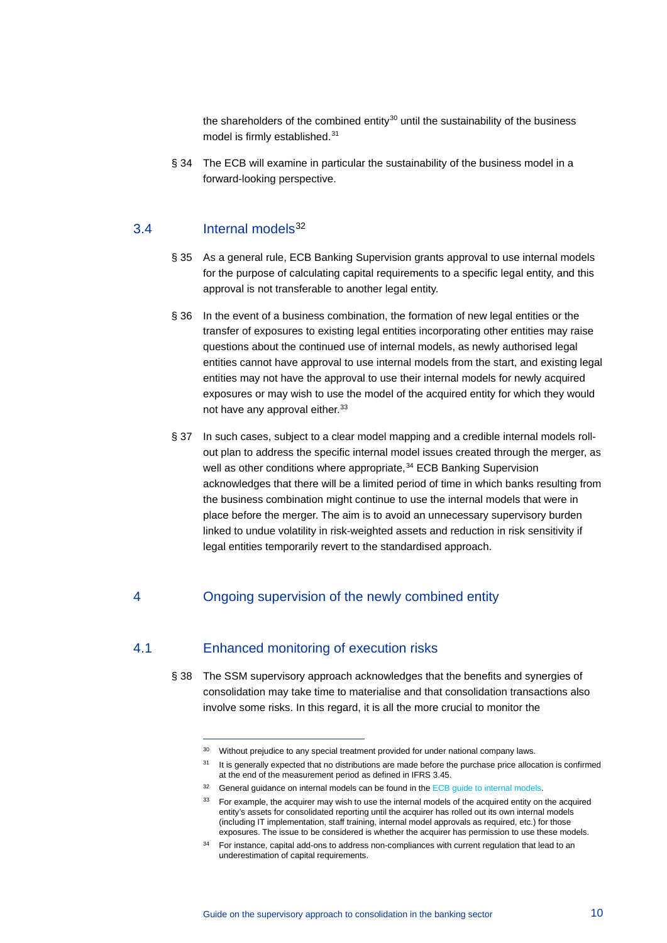the shareholders of the combined entity $30$  until the sustainability of the business model is firmly established.<sup>[31](#page-9-1)</sup>

§ 34 The ECB will examine in particular the sustainability of the business model in a forward-looking perspective.

#### 3.4 Internal models[32](#page-9-2)

- § 35 As a general rule, ECB Banking Supervision grants approval to use internal models for the purpose of calculating capital requirements to a specific legal entity, and this approval is not transferable to another legal entity.
- § 36 In the event of a business combination, the formation of new legal entities or the transfer of exposures to existing legal entities incorporating other entities may raise questions about the continued use of internal models, as newly authorised legal entities cannot have approval to use internal models from the start, and existing legal entities may not have the approval to use their internal models for newly acquired exposures or may wish to use the model of the acquired entity for which they would not have any approval either. [33](#page-9-3)
- § 37 In such cases, subject to a clear model mapping and a credible internal models rollout plan to address the specific internal model issues created through the merger, as well as other conditions where appropriate, <sup>[34](#page-9-4)</sup> ECB Banking Supervision acknowledges that there will be a limited period of time in which banks resulting from the business combination might continue to use the internal models that were in place before the merger. The aim is to avoid an unnecessary supervisory burden linked to undue volatility in risk-weighted assets and reduction in risk sensitivity if legal entities temporarily revert to the standardised approach.

# 4 Ongoing supervision of the newly combined entity

# <span id="page-9-2"></span><span id="page-9-1"></span><span id="page-9-0"></span>4.1 Enhanced monitoring of execution risks

§ 38 The SSM supervisory approach acknowledges that the benefits and synergies of consolidation may take time to materialise and that consolidation transactions also involve some risks. In this regard, it is all the more crucial to monitor the

<sup>&</sup>lt;sup>30</sup> Without prejudice to any special treatment provided for under national company laws.

<sup>&</sup>lt;sup>31</sup> It is generally expected that no distributions are made before the purchase price allocation is confirmed at the end of the measurement period as defined in IFRS 3.45.

<span id="page-9-3"></span><sup>&</sup>lt;sup>32</sup> General guidance on internal models can be found in th[e ECB guide to internal models.](https://www.bankingsupervision.europa.eu/ecb/pub/pdf/ssm.guidetointernalmodels_consolidated_201910%7E97fd49fb08.en.pdf)

<sup>&</sup>lt;sup>33</sup> For example, the acquirer may wish to use the internal models of the acquired entity on the acquired entity's assets for consolidated reporting until the acquirer has rolled out its own internal models (including IT implementation, staff training, internal model approvals as required, etc.) for those exposures. The issue to be considered is whether the acquirer has permission to use these models.

<span id="page-9-4"></span><sup>&</sup>lt;sup>34</sup> For instance, capital add-ons to address non-compliances with current regulation that lead to an underestimation of capital requirements.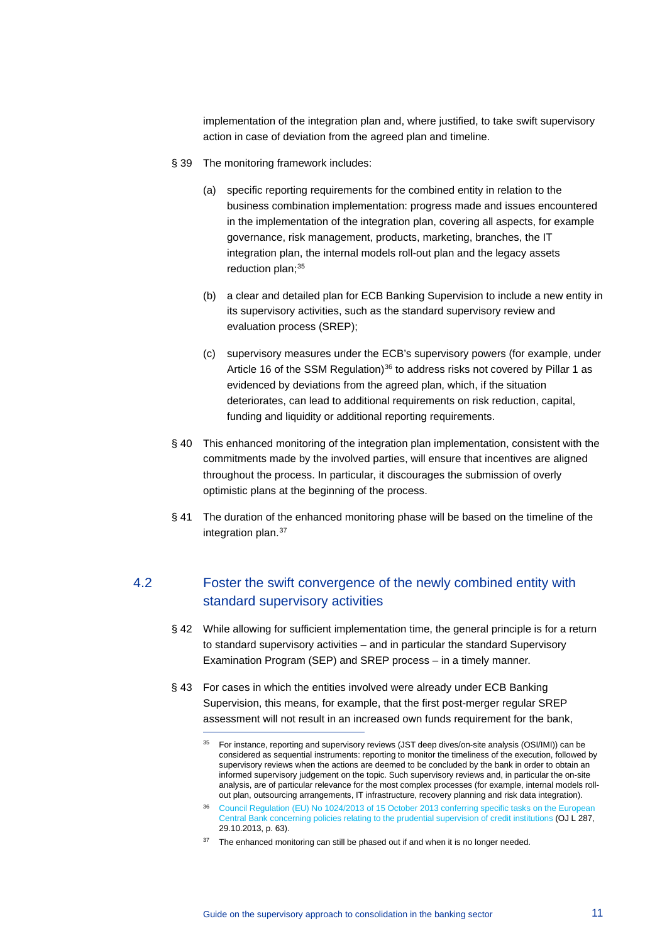implementation of the integration plan and, where justified, to take swift supervisory action in case of deviation from the agreed plan and timeline.

- § 39 The monitoring framework includes:
	- (a) specific reporting requirements for the combined entity in relation to the business combination implementation: progress made and issues encountered in the implementation of the integration plan, covering all aspects, for example governance, risk management, products, marketing, branches, the IT integration plan, the internal models roll-out plan and the legacy assets reduction plan; $35$
	- (b) a clear and detailed plan for ECB Banking Supervision to include a new entity in its supervisory activities, such as the standard supervisory review and evaluation process (SREP);
	- (c) supervisory measures under the ECB's supervisory powers (for example, under Article 16 of the SSM Regulation) $36$  to address risks not covered by Pillar 1 as evidenced by deviations from the agreed plan, which, if the situation deteriorates, can lead to additional requirements on risk reduction, capital, funding and liquidity or additional reporting requirements.
- § 40 This enhanced monitoring of the integration plan implementation, consistent with the commitments made by the involved parties, will ensure that incentives are aligned throughout the process. In particular, it discourages the submission of overly optimistic plans at the beginning of the process.
- § 41 The duration of the enhanced monitoring phase will be based on the timeline of the integration plan.<sup>[37](#page-10-2)</sup>

# 4.2 Foster the swift convergence of the newly combined entity with standard supervisory activities

- § 42 While allowing for sufficient implementation time, the general principle is for a return to standard supervisory activities – and in particular the standard Supervisory Examination Program (SEP) and SREP process – in a timely manner.
- <span id="page-10-0"></span>§ 43 For cases in which the entities involved were already under ECB Banking Supervision, this means, for example, that the first post-merger regular SREP assessment will not result in an increased own funds requirement for the bank,

<sup>&</sup>lt;sup>35</sup> For instance, reporting and supervisory reviews (JST deep dives/on-site analysis (OSI/IMI)) can be considered as sequential instruments: reporting to monitor the timeliness of the execution, followed by supervisory reviews when the actions are deemed to be concluded by the bank in order to obtain an informed supervisory judgement on the topic. Such supervisory reviews and, in particular the on-site analysis, are of particular relevance for the most complex processes (for example, internal models rollout plan, outsourcing arrangements, IT infrastructure, recovery planning and risk data integration).

<span id="page-10-1"></span><sup>36</sup> Council Regulation (EU) No 1024/2013 of 15 October 2013 conferring specific tasks on the European [Central Bank concerning policies relating to the prudential supervision of credit institutions](https://eur-lex.europa.eu/legal-content/en/TXT/?uri=celex%3A32013R1024) (OJ L 287, 29.10.2013, p. 63).

<span id="page-10-2"></span> $37$  The enhanced monitoring can still be phased out if and when it is no longer needed.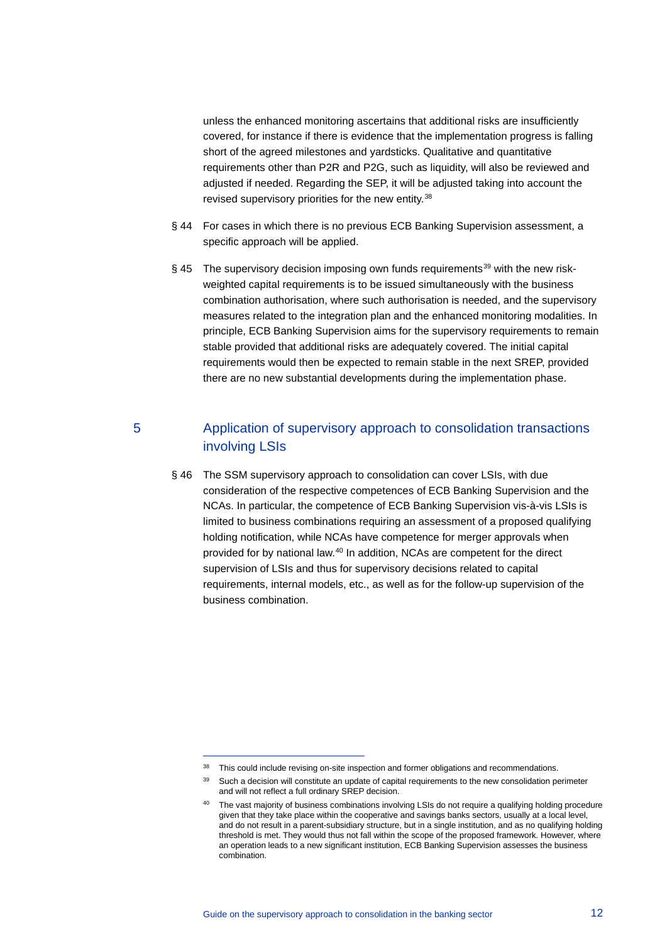unless the enhanced monitoring ascertains that additional risks are insufficiently covered, for instance if there is evidence that the implementation progress is falling short of the agreed milestones and yardsticks. Qualitative and quantitative requirements other than P2R and P2G, such as liquidity, will also be reviewed and adjusted if needed. Regarding the SEP, it will be adjusted taking into account the revised supervisory priorities for the new entity.<sup>[38](#page-11-0)</sup>

- § 44 For cases in which there is no previous ECB Banking Supervision assessment, a specific approach will be applied.
- $§$  45 The supervisory decision imposing own funds requirements<sup>[39](#page-11-1)</sup> with the new riskweighted capital requirements is to be issued simultaneously with the business combination authorisation, where such authorisation is needed, and the supervisory measures related to the integration plan and the enhanced monitoring modalities. In principle, ECB Banking Supervision aims for the supervisory requirements to remain stable provided that additional risks are adequately covered. The initial capital requirements would then be expected to remain stable in the next SREP, provided there are no new substantial developments during the implementation phase.

# 5 Application of supervisory approach to consolidation transactions involving LSIs

§ 46 The SSM supervisory approach to consolidation can cover LSIs, with due consideration of the respective competences of ECB Banking Supervision and the NCAs. In particular, the competence of ECB Banking Supervision vis-à-vis LSIs is limited to business combinations requiring an assessment of a proposed qualifying holding notification, while NCAs have competence for merger approvals when provided for by national law.[40](#page-11-2) In addition, NCAs are competent for the direct supervision of LSIs and thus for supervisory decisions related to capital requirements, internal models, etc., as well as for the follow-up supervision of the business combination.

<span id="page-11-0"></span><sup>&</sup>lt;sup>38</sup> This could include revising on-site inspection and former obligations and recommendations.

<span id="page-11-1"></span><sup>&</sup>lt;sup>39</sup> Such a decision will constitute an update of capital requirements to the new consolidation perimeter and will not reflect a full ordinary SREP decision.

<span id="page-11-2"></span><sup>&</sup>lt;sup>40</sup> The vast majority of business combinations involving LSIs do not require a qualifying holding procedure given that they take place within the cooperative and savings banks sectors, usually at a local level, and do not result in a parent-subsidiary structure, but in a single institution, and as no qualifying holding threshold is met. They would thus not fall within the scope of the proposed framework. However, where an operation leads to a new significant institution, ECB Banking Supervision assesses the business combination.